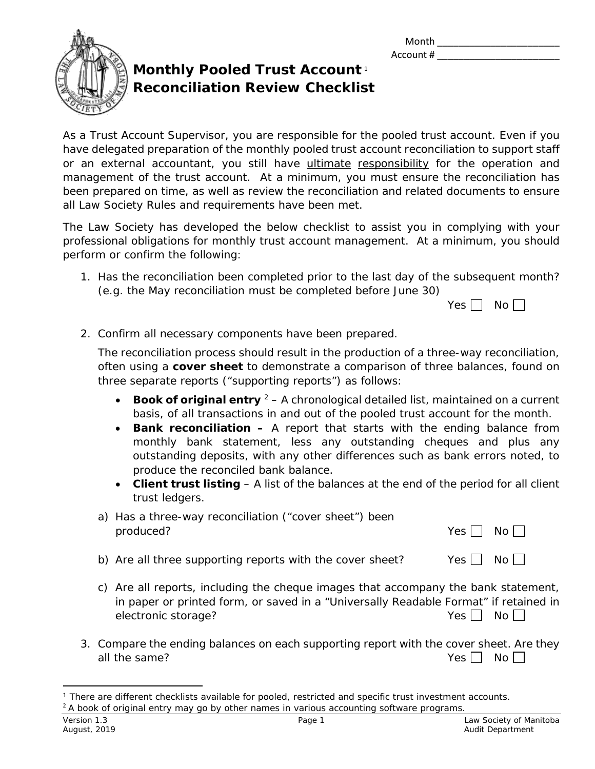| Month     |  |
|-----------|--|
| Account # |  |



## **Monthly Pooled Trust Account** [1](#page-0-0) **Reconciliation Review Checklist**

As a Trust Account Supervisor, you are responsible for the pooled trust account. Even if you have delegated preparation of the monthly pooled trust account reconciliation to support staff or an external accountant, you still have ultimate responsibility for the operation and management of the trust account. At a minimum, you must ensure the reconciliation has been prepared on time, as well as review the reconciliation and related documents to ensure all Law Society Rules and requirements have been met.

The Law Society has developed the below checklist to assist you in complying with your professional obligations for monthly trust account management. At a minimum, you should perform or confirm the following:

1. Has the reconciliation been completed prior to the last day of the subsequent month? (e.g. the May reconciliation must be completed before June 30)

2. Confirm all necessary components have been prepared.

The reconciliation process should result in the production of a three-way reconciliation, often using a **cover sheet** to demonstrate a comparison of three balances, found on three separate reports ("supporting reports") as follows:

- **Book of original entry** <sup>[2](#page-0-1)</sup> A chronological detailed list, maintained on a current basis, of all transactions in and out of the pooled trust account for the month.
- **Bank reconciliation –** A report that starts with the ending balance from monthly bank statement, less any outstanding cheques and plus any outstanding deposits, with any other differences such as bank errors noted, to produce the reconciled bank balance.
- **Client trust listing** A list of the balances at the end of the period for all client trust ledgers.

| a) Has a three-way reconciliation ("cover sheet") been |                      |  |
|--------------------------------------------------------|----------------------|--|
| produced?                                              | Yes $\Box$ No $\Box$ |  |

- b) Are all three supporting reports with the cover sheet? Yes  $\Box$  No  $\Box$
- c) Are all reports, including the cheque images that accompany the bank statement, in paper or printed form, or saved in a "Universally Readable Format" if retained in electronic storage? Yes No
- 3. Compare the ending balances on each supporting report with the cover sheet. Are they all the same?  $Yes \Box \text{No } \Box$

<span id="page-0-1"></span><span id="page-0-0"></span> $\overline{a}$ <sup>1</sup> There are different checklists available for pooled, restricted and specific trust investment accounts.  $2A$  book of original entry may go by other names in various accounting software programs.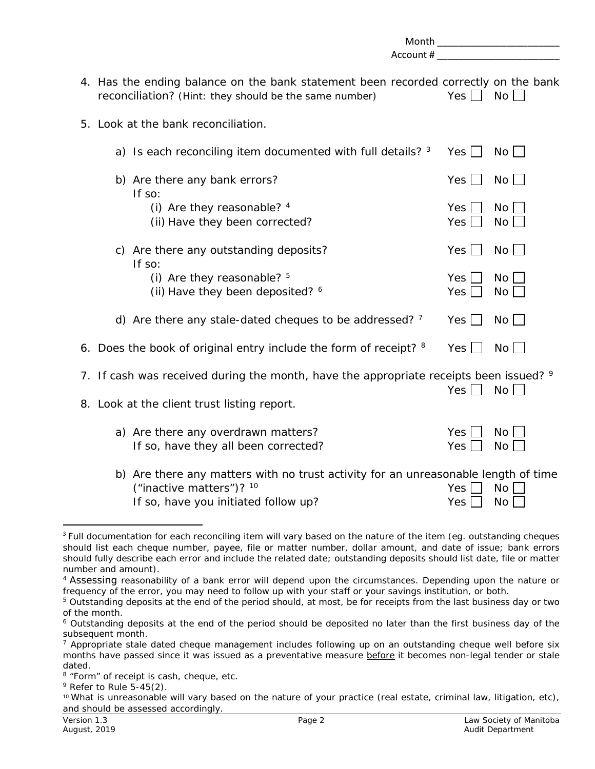|                                                                                                                                                        | Account #           | Month _________________________ |
|--------------------------------------------------------------------------------------------------------------------------------------------------------|---------------------|---------------------------------|
| 4. Has the ending balance on the bank statement been recorded correctly on the bank<br>reconciliation? (Hint: they should be the same number)          | $Yes \Box$          | $No$ $\Box$                     |
| 5. Look at the bank reconciliation.                                                                                                                    |                     |                                 |
| a) Is each reconciling item documented with full details? 3                                                                                            | Yes $\Box$          | No                              |
| b) Are there any bank errors?<br>If so:                                                                                                                | Yes                 | $No$ $\Box$                     |
| (i) Are they reasonable? 4<br>(ii) Have they been corrected?                                                                                           | Yes<br>Yes          | No <sub>1</sub><br>$No \Box$    |
| c) Are there any outstanding deposits?<br>If so:                                                                                                       | Yes                 | $No \Box$                       |
| (i) Are they reasonable? $5$<br>(ii) Have they been deposited? 6                                                                                       | Yes $ $<br>Yes      | No  <br>No <sub>1</sub>         |
| d) Are there any stale-dated cheques to be addressed? $7$                                                                                              | Yes $\Box$          | $No$ $ $                        |
| 6. Does the book of original entry include the form of receipt? 8                                                                                      | Yes $\vert \ \vert$ | No <sub>1</sub>                 |
| 7. If cash was received during the month, have the appropriate receipts been issued? 9<br>8. Look at the client trust listing report.                  | $Yes \Box$          | No                              |
| a) Are there any overdrawn matters?<br>If so, have they all been corrected?                                                                            | Yes<br>Yes          | No<br><b>No</b>                 |
| b) Are there any matters with no trust activity for an unreasonable length of time<br>("inactive matters")? 10<br>If so, have you initiated follow up? | Yes<br>Yes          | No<br>No                        |

<span id="page-1-0"></span><sup>&</sup>lt;sup>3</sup> Full documentation for each reconciling item will vary based on the nature of the item (eg. outstanding cheques should list each cheque number, payee, file or matter number, dollar amount, and date of issue; bank errors should fully describe each error and include the related date; outstanding deposits should list date, file or matter number and amount).

<span id="page-1-1"></span><sup>4</sup> Assessing reasonability of a bank error will depend upon the circumstances. Depending upon the nature or frequency of the error, you may need to follow up with your staff or your savings institution, or both.

<span id="page-1-2"></span><sup>&</sup>lt;sup>5</sup> Outstanding deposits at the end of the period should, at most, be for receipts from the last business day or two of the month.

<span id="page-1-3"></span><sup>6</sup> Outstanding deposits at the end of the period should be deposited no later than the first business day of the subsequent month.

<span id="page-1-4"></span> $7$  Appropriate stale dated cheque management includes following up on an outstanding cheque well before six months have passed since it was issued as a preventative measure before it becomes non-legal tender or stale dated.

<span id="page-1-5"></span><sup>8 &</sup>quot;Form" of receipt is cash, cheque, etc.

<span id="page-1-6"></span> $9$  Refer to Rule 5-45(2).

<span id="page-1-7"></span><sup>10</sup> What is unreasonable will vary based on the nature of your practice (real estate, criminal law, litigation, etc), and should be assessed accordingly.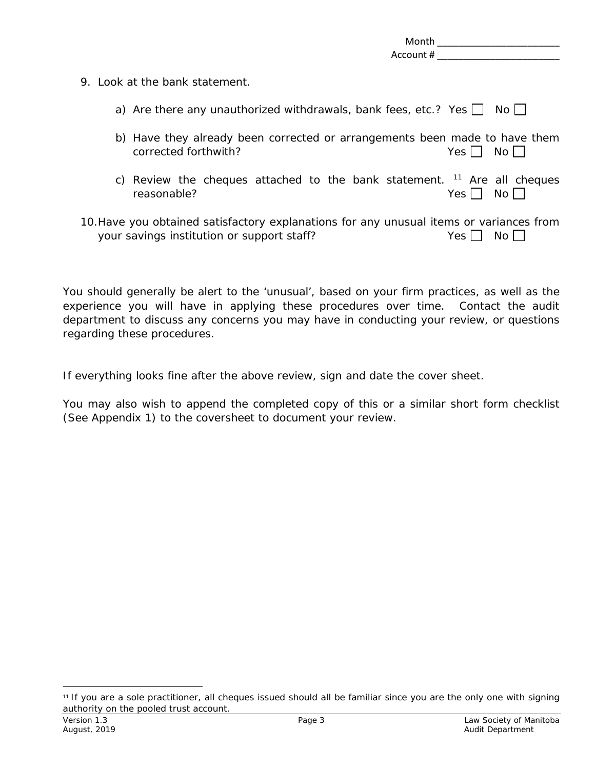|  | Month<br>Account #                                                                                                                    |                  |       |
|--|---------------------------------------------------------------------------------------------------------------------------------------|------------------|-------|
|  | 9. Look at the bank statement.                                                                                                        |                  |       |
|  | a) Are there any unauthorized withdrawals, bank fees, etc.? Yes $\Box$                                                                |                  | No II |
|  | b) Have they already been corrected or arrangements been made to have them<br>corrected forthwith?                                    | Yes <sub>l</sub> | $No$  |
|  | c) Review the cheques attached to the bank statement. $11$ Are all cheques<br>reasonable?                                             | Yes              | No l  |
|  | 10. Have you obtained satisfactory explanations for any unusual items or variances from<br>your savings institution or support staff? | Yes.             | No l  |

You should generally be alert to the 'unusual', based on your firm practices, as well as the experience you will have in applying these procedures over time. Contact the audit department to discuss any concerns you may have in conducting your review, or questions regarding these procedures.

If everything looks fine after the above review, sign and date the cover sheet.

You may also wish to append the completed copy of this or a similar short form checklist (See Appendix 1) to the coversheet to document your review.

<span id="page-2-0"></span> <sup>11</sup> If you are a sole practitioner, all cheques issued should all be familiar since you are the only one with signing authority on the pooled trust account.